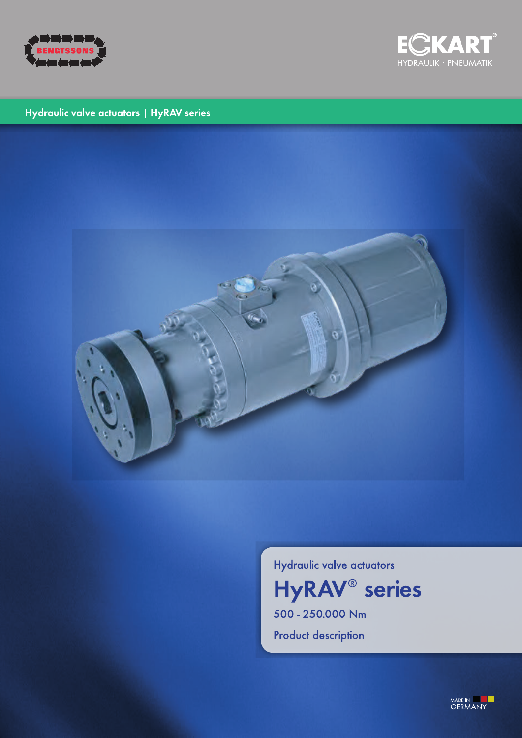



## Hydraulic valve actuators | HyRAV series



Hydraulic valve actuators

**HyRAV<sup>®</sup>** series 500 - 250.000 Nm

**Product description** 

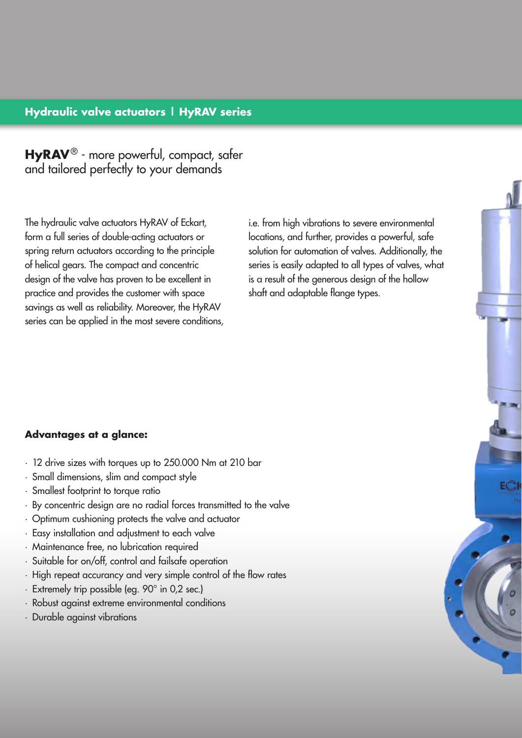## **Hydraulic valve actuators | HyRAV series**

**HyRAV**® - more powerful, compact, safer and tailored perfectly to your demands

The hydraulic valve actuators HyRAV of Eckart, form a full series of double-acting actuators or spring return actuators according to the principle of helical gears. The compact and concentric design of the valve has proven to be excellent in practice and provides the customer with space savings as well as reliability. Moreover, the HyRAV series can be applied in the most severe conditions, i.e. from high vibrations to severe environmental locations, and further, provides a powerful, safe solution for automation of valves. Additionally, the series is easily adapted to all types of valves, what is a result of the generous design of the hollow shaft and adaptable flange types.

### **Advantages at a glance:**

- · 12 drive sizes with torques up to 250.000 Nm at 210 bar
- · Small dimensions, slim and compact style
- · Smallest footprint to torque ratio
- · By concentric design are no radial forces transmitted to the valve
- · Optimum cushioning protects the valve and actuator
- · Easy installation and adjustment to each valve
- · Maintenance free, no lubrication required
- · Suitable for on/off, control and failsafe operation
- · High repeat accurancy and very simple control of the flow rates
- · Extremely trip possible (eg. 90° in 0,2 sec.)
- · Robust against extreme environmental conditions
- · Durable against vibrations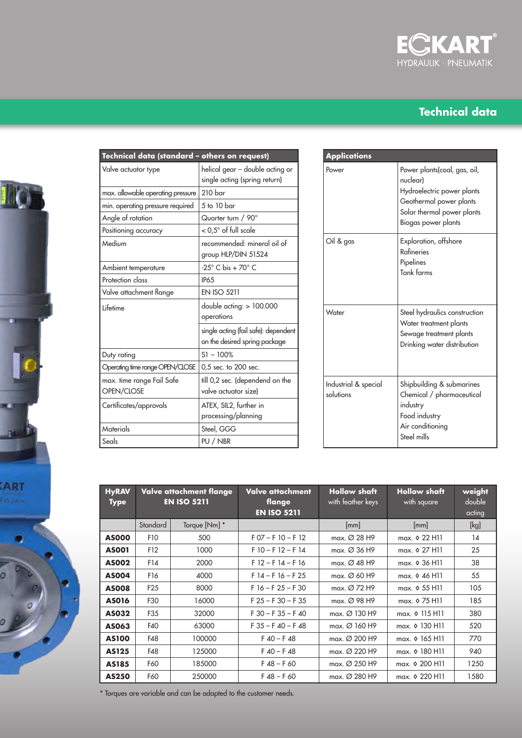

# **Technical data**



| Technical data (standard - others on request) |                                                                       |  |  |  |  |  |
|-----------------------------------------------|-----------------------------------------------------------------------|--|--|--|--|--|
| Valve actuator type                           | helical gear - double acting or<br>single acting (spring return)      |  |  |  |  |  |
| max, allowable operating pressure             | 210 <sub>bar</sub>                                                    |  |  |  |  |  |
| min. operating pressure required              | 5 to 10 bar                                                           |  |  |  |  |  |
| Angle of rotation                             | Quarter turn / 90°                                                    |  |  |  |  |  |
| Positioning accuracy                          | $<$ 0,5 $^{\circ}$ of full scale                                      |  |  |  |  |  |
| Medium                                        | recommended: mineral oil of<br>group HLP/DIN 51524                    |  |  |  |  |  |
| Ambient temperature                           | $-25^\circ$ C bis + 70 $^\circ$ C                                     |  |  |  |  |  |
| Protection class                              | <b>IP65</b>                                                           |  |  |  |  |  |
| Valve attachment flange                       | <b>EN ISO 5211</b>                                                    |  |  |  |  |  |
| Lifetime                                      | double acting: $> 100.000$<br>operations                              |  |  |  |  |  |
|                                               | single acting (fail safe): dependent<br>on the desired spring package |  |  |  |  |  |
| Duty rating                                   | $S1 - 100%$                                                           |  |  |  |  |  |
| Operating time range OPEN/CLOSE               | 0,5 sec. to 200 sec.                                                  |  |  |  |  |  |
| max. time range Fail Safe<br>OPEN/CLOSE       | till 0,2 sec. (dependend on the<br>valve actuator size)               |  |  |  |  |  |
| Certificates/approvals                        | ATEX, SIL2, further in<br>processing/planning                         |  |  |  |  |  |
| Materials                                     | Steel, GGG                                                            |  |  |  |  |  |
| Seals                                         | PU / NBR                                                              |  |  |  |  |  |

| <b>Applications</b>               |                                                                                                                                                        |
|-----------------------------------|--------------------------------------------------------------------------------------------------------------------------------------------------------|
| Power                             | Power plants(coal, gas, oil,<br>nuclear)<br>Hydroelectric power plants<br>Geothermal power plants<br>Solar thermal power plants<br>Biogas power plants |
| Oil & gas                         | Exploration, offshore<br><b>Rafineries</b><br>Pipelines<br>Tank farms                                                                                  |
| Water                             | Steel hydraulics construction<br>Water treatment plants<br>Sewage treatment plants<br>Drinking water distribution                                      |
| Industrial & special<br>solutions | Shipbuilding & submarines<br>Chemical / pharmaceutical<br>industry<br>Food industry<br>Air conditioning<br>Steel mills                                 |

| <b>HyRAV</b><br><b>Type</b> |                 | Valve attachment flange<br><b>EN ISO 5211</b> | Valve attachment<br>flange<br><b>EN ISO 5211</b> | <b>Hollow shaft</b><br>with feather keys | <b>Hollow shaft</b><br>with square | weight<br>double<br>acting |
|-----------------------------|-----------------|-----------------------------------------------|--------------------------------------------------|------------------------------------------|------------------------------------|----------------------------|
|                             | Standard        | Torque [Nm] *                                 |                                                  | [mm]                                     | [mm]                               | [kg]                       |
| <b>AS000</b>                | F10             | 500                                           | $F$ 07 – F 10 – F 12                             | max. $\varnothing$ 28 H9                 | max. $\lozenge$ 22 H11             | 14                         |
| <b>ASO01</b>                | F12             | 1000                                          | $F10 - F12 - F14$                                | max. $\varnothing$ 36 H9                 | max. $\lozenge$ 27 H11             | 25                         |
| <b>ASO02</b>                | F14             | 2000                                          | $F$ 12 – F 14 – F 16                             | max. $\varnothing$ 48 H9                 | max. $\lozenge$ 36 H11             | 38                         |
| <b>AS004</b>                | F16             | 4000                                          | $F14 - F16 - F25$                                | max. $\varnothing$ 60 H9                 | max. $\lozenge$ 46 H <sub>11</sub> | 55                         |
| <b>ASO08</b>                | F <sub>25</sub> | 8000                                          | $F16 - F25 - F30$                                | max. $\varnothing$ 72 H9                 | max. $\lozenge$ 55 H11             | 105                        |
| <b>AS016</b>                | F30             | 16000                                         | $F$ 25 – F 30 – F 35                             | max. $\varnothing$ 98 H9                 | max. $\lozenge$ 75 H11             | 185                        |
| AS032                       | F35             | 32000                                         | $F$ 30 – F 35 – F 40                             | $max. Ø$ 130 H9                          | max. 0 115 H11                     | 380                        |
| AS063                       | F40             | 63000                                         | $F$ 35 – F 40 – F 48                             | max. $\varnothing$ 160 H9                | max. $\lozenge$ 130 H11            | 520                        |
| <b>AS100</b>                | F48             | 100000                                        | $F$ 40 – F 48                                    | max. $\varnothing$ 200 H9                | max. 0 165 H11                     | 770                        |
| AS125                       | F48             | 125000                                        | $F$ 40 – F 48                                    | max. Ø 220 H9                            | max. 0 180 H11                     | 940                        |
| AS185                       | F60             | 185000                                        | $F$ 48 – F 60                                    | max. Ø 250 H9                            | max. $\lozenge$ 200 H11            | 1250                       |
| AS250                       | F60             | 250000                                        | $F$ 48 – F 60                                    | $max.$ Ø 280 H9                          | max. $\lozenge$ 220 H11            | 1580                       |

\* Torques are variable and can be adapted to the customer needs.